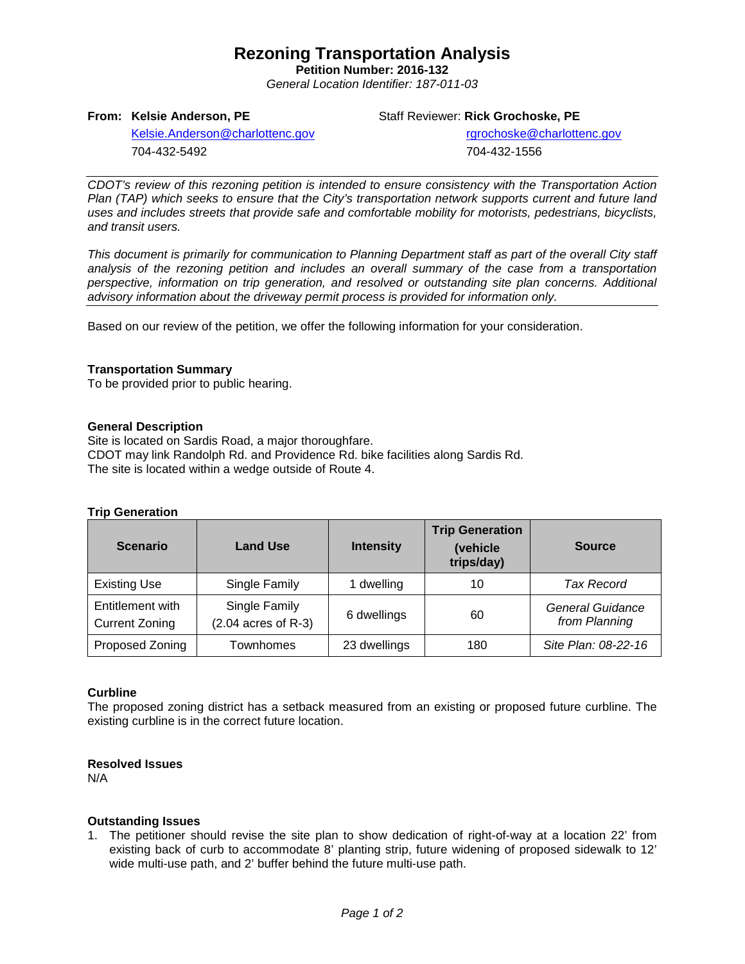# **Rezoning Transportation Analysis**

**Petition Number: 2016-132** *General Location Identifier: 187-011-03*

Staff Reviewer: **Rick Grochoske, PE**

[Kelsie.Anderson@charlottenc.gov](mailto:Kelsie.Anderson@charlottenc.gov) 704-432-5492

rgrochoske@charlottenc.gov

704-432-1556

*CDOT's review of this rezoning petition is intended to ensure consistency with the Transportation Action Plan (TAP) which seeks to ensure that the City's transportation network supports current and future land uses and includes streets that provide safe and comfortable mobility for motorists, pedestrians, bicyclists, and transit users.*

*This document is primarily for communication to Planning Department staff as part of the overall City staff analysis of the rezoning petition and includes an overall summary of the case from a transportation perspective, information on trip generation, and resolved or outstanding site plan concerns. Additional advisory information about the driveway permit process is provided for information only.*

Based on our review of the petition, we offer the following information for your consideration.

### **Transportation Summary**

**From: Kelsie Anderson, PE**

To be provided prior to public hearing.

#### **General Description**

Site is located on Sardis Road, a major thoroughfare. CDOT may link Randolph Rd. and Providence Rd. bike facilities along Sardis Rd. The site is located within a wedge outside of Route 4.

#### **Trip Generation**

| <b>Scenario</b>                           | <b>Land Use</b>                        | <b>Intensity</b> | <b>Trip Generation</b><br>(vehicle<br>trips/day) | <b>Source</b>                            |  |
|-------------------------------------------|----------------------------------------|------------------|--------------------------------------------------|------------------------------------------|--|
| <b>Existing Use</b>                       | Single Family                          | 1 dwelling       | 10                                               | <b>Tax Record</b>                        |  |
| Entitlement with<br><b>Current Zoning</b> | Single Family<br>$(2.04$ acres of R-3) | 6 dwellings      | 60                                               | <b>General Guidance</b><br>from Planning |  |
| Proposed Zoning                           | Townhomes                              | 23 dwellings     | 180                                              | Site Plan: 08-22-16                      |  |

#### **Curbline**

The proposed zoning district has a setback measured from an existing or proposed future curbline. The existing curbline is in the correct future location.

#### **Resolved Issues**

N/A

#### **Outstanding Issues**

1. The petitioner should revise the site plan to show dedication of right-of-way at a location 22' from existing back of curb to accommodate 8' planting strip, future widening of proposed sidewalk to 12' wide multi-use path, and 2' buffer behind the future multi-use path.